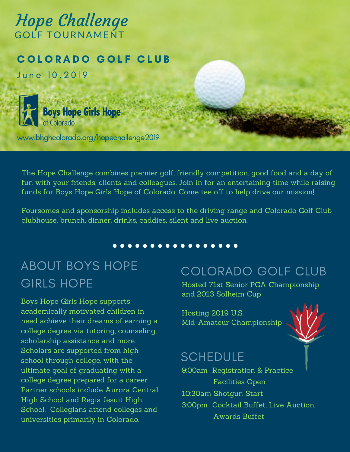# Hope Challenge GOLF TOURNAMENT

#### COLORADO GOLF CLUB

June 10,2019



www.bhghcolorado.org/hopechallenge2019

The Hope Challenge combines premier golf, friendly competition, good food and a day of fun with your friends, clients and colleagues. Join in for an entertaining time while raising funds for Boys Hope Girls Hope of Colorado. Come tee off to help drive our mission!

Foursomes and sponsorship includes access to the driving range and Colorado Golf Club clubhouse, brunch, dinner, drinks, caddies, silent and live auction.

. . . . . . . . . . . . . . .

# ABOUT BOYS HOPE GIRLS HOPE

Boys Hope Girls Hope supports academically motivated children in need achieve their dreams of earning a college degree via tutoring, counseling, scholarship assistance and more. Scholars are supported from high school through college, with the ultimate goal of graduating with a college degree prepared for a career. Partner schools include Aurora Central High School and Regis Jesuit High School. Collegians attend colleges and universities primarily in Colorado.

## COLORADO GOLF CLUB

Hosted 71st Senior PGA Championship and 2013 Solheim Cup

Hosting 2019 U.S. Mid-Amateur Championship



## **SCHEDULE**

9:00am Registration & Practice Facilities Open 10:30am Shotgun Start 3:00pm Cocktail Buffet, Live Auction, Awards Buffet